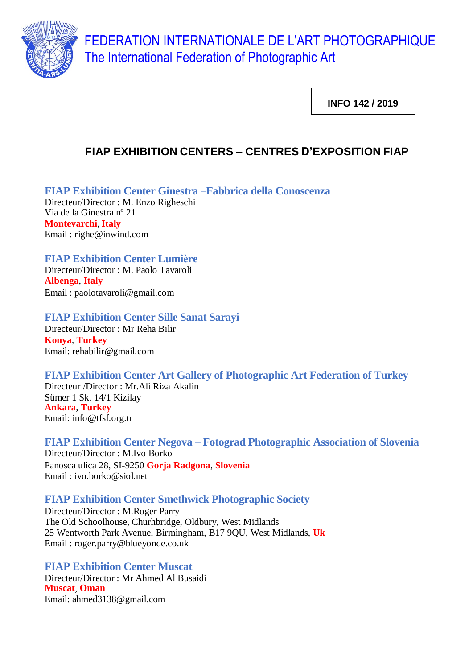

FEDERATION INTERNATIONALE DE L'ART PHOTOGRAPHIQUE The International Federation of Photographic Art

**INFO 142 / 2019**

# **FIAP EXHIBITION CENTERS – CENTRES D'EXPOSITION FIAP**

**FIAP Exhibition Center Ginestra –Fabbrica della Conoscenza**

Directeur/Director : M. Enzo Righeschi Via de la Ginestra nº 21 **Montevarchi**, **Italy** Email : righe@inwind.com

## **FIAP Exhibition Center Lumière**

Directeur/Director : M. Paolo Tavaroli **Albenga**, **Italy** Email : [paolotavaroli@gmail.com](mailto:paolotavaroli@gmail.com)

## **FIAP Exhibition Center Sille Sanat Sarayi**

Directeur/Director : Mr Reha Bilir **Konya**, **Turkey** Email: [rehabilir@gmail.com](mailto:rehabilir@gmail.com)

## **FIAP Exhibition Center Art Gallery of Photographic Art Federation of Turkey**

Directeur /Director : Mr.Ali Riza Akalin Sümer 1 Sk. 14/1 Kizilay **Ankara**, **Turkey** Email: [info@tfsf.org.tr](mailto:info@tfsf.org.tr)

**FIAP Exhibition Center Negova – Fotograd Photographic Association of Slovenia** Directeur/Director : M.Ivo Borko Panosca ulica 28, SI-9250 **Gorja Radgona**, **Slovenia** Email : iv[o.borko@siol.net](mailto:borko@siol.net)

## **FIAP Exhibition Center Smethwick Photographic Society**

Directeur/Director : M.Roger Parry The Old Schoolhouse, Churhbridge, Oldbury, West Midlands 25 Wentworth Park Avenue, Birmingham, B17 9QU, West Midlands, **Uk** Email : roge[r.parry@blueyonde.co.uk](mailto:parry@blueyonde.co.uk)

**FIAP Exhibition Center Muscat** Directeur/Director : Mr Ahmed Al Busaidi **Muscat**, **Oman** Email: [ahmed3138@gmail.com](mailto:ahmed3138@gmail.com)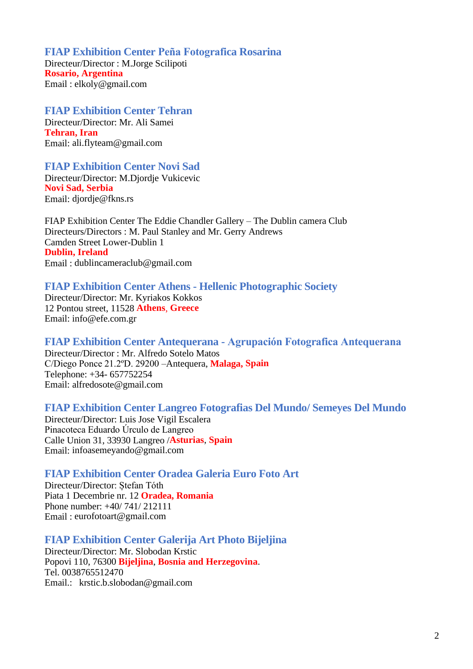**FIAP Exhibition Center Peña Fotografica Rosarina**  Directeur/Director : M.Jorge Scilipoti **Rosario, Argentina** Email : elkoly@gmail.com

**FIAP Exhibition Center Tehran** Directeur/Director: Mr. Ali Samei **Tehran, Iran** Email: [ali.flyteam@gmail.com](mailto:ali.flyteam@gmail.com)

**FIAP Exhibition Center Novi Sad** 

Directeur/Director: M.Djordje Vukicevic **Novi Sad, Serbia** Email: [djordje@fkns.rs](mailto:djordje@fkns.rs)

FIAP Exhibition Center The Eddie Chandler Gallery – The Dublin camera Club Directeurs/Directors : M. Paul Stanley and Mr. Gerry Andrews Camden Street Lower-Dublin 1 **Dublin, Ireland** Email : dublincameraclub@gmail.com

#### **FIAP Exhibition Center Athens - Hellenic Photographic Society**

Directeur/Director: Mr. Kyriakos Kokkos 12 Pontou street, 11528 **Athens**, **Greece** Email: info@efe.com.gr

#### **FIAP Exhibition Center Antequerana - Agrupación Fotografica Antequerana**

Directeur/Director : Mr. Alfredo Sotelo Matos C/Diego Ponce 21.2ºD. 29200 –Antequera, **Malaga, Spain** Telephone: +34- 657752254 Email: alfredosote@gmail.com

#### **FIAP Exhibition Center Langreo Fotografias Del Mundo/ Semeyes Del Mundo**

Directeur/Director: Luis Jose Vigil Escalera Pinacoteca Eduardo Úrculo de Langreo Calle Union 31, 33930 Langreo /**Asturias**, **Spain** Email: [infoasemeyando@gmail.com](mailto:infoasemeyando@gmail.com)

#### **FIAP Exhibition Center Oradea Galeria Euro Foto Art**

Directeur/Director: Ștefan Tóth Piata 1 Decembrie nr. 12 **Oradea, Romania** Phone number: +40/ 741/ 212111 Email : [eurofotoart@gmail.com](mailto:eurofotoart@gmail.com)

#### **FIAP Exhibition Center Galerija Art Photo Bijeljina**

Directeur/Director: Mr. Slobodan Krstic Popovi 110, 76300 **Bijeljina**, **Bosnia and Herzegovina**. Tel. 0038765512470 Email.: krstic.b.slobodan@gmail.com